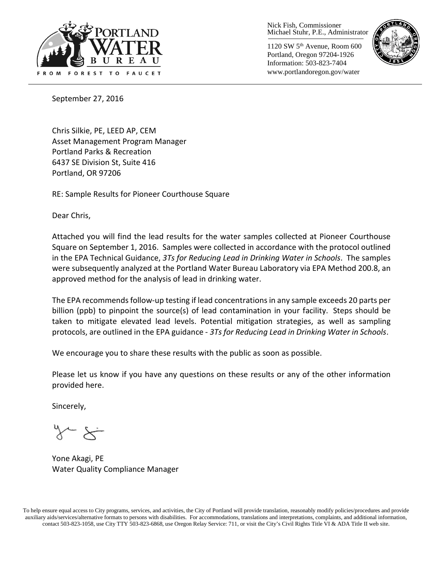

Nick Fish, Commissioner Michael Stuhr, P.E., Administrator

1120 SW 5th Avenue, Room 600 Portland, Oregon 97204-1926 Information: 503-823-7404 www.portlandoregon.gov/water



September 27, 2016

Chris Silkie, PE, LEED AP, CEM Asset Management Program Manager Portland Parks & Recreation 6437 SE Division St, Suite 416 Portland, OR 97206

RE: Sample Results for Pioneer Courthouse Square

Dear Chris,

Attached you will find the lead results for the water samples collected at Pioneer Courthouse Square on September 1, 2016. Samples were collected in accordance with the protocol outlined in the EPA Technical Guidance, *3Ts for Reducing Lead in Drinking Water in Schools*. The samples were subsequently analyzed at the Portland Water Bureau Laboratory via EPA Method 200.8, an approved method for the analysis of lead in drinking water.

The EPA recommends follow-up testing if lead concentrations in any sample exceeds 20 parts per billion (ppb) to pinpoint the source(s) of lead contamination in your facility. Steps should be taken to mitigate elevated lead levels. Potential mitigation strategies, as well as sampling protocols, are outlined in the EPA guidance - *3Ts for Reducing Lead in Drinking Water in Schools*.

We encourage you to share these results with the public as soon as possible.

Please let us know if you have any questions on these results or any of the other information provided here.

Sincerely,

Yone Akagi, PE Water Quality Compliance Manager

To help ensure equal access to City programs, services, and activities, the City of Portland will provide translation, reasonably modify policies/procedures and provide auxiliary aids/services/alternative formats to persons with disabilities. For accommodations, translations and interpretations, complaints, and additional information, contact 503-823-1058, use City TTY 503-823-6868, use Oregon Relay Service: 711, or visi[t the City's Civil Rights Title VI & ADA Title II web site.](http://www.portlandoregon.gov/oehr/66458)